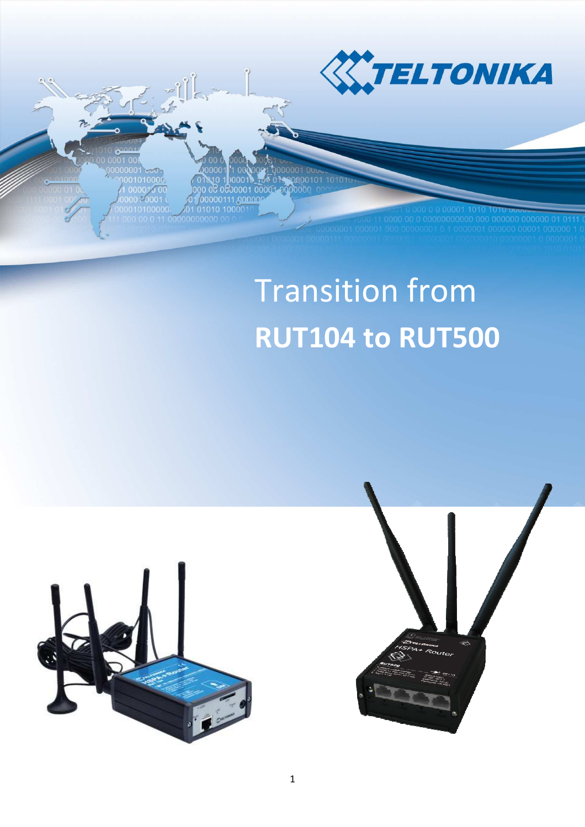

0000101 0000001000 1,00000

# Transition from **RUT104 to RUT500**



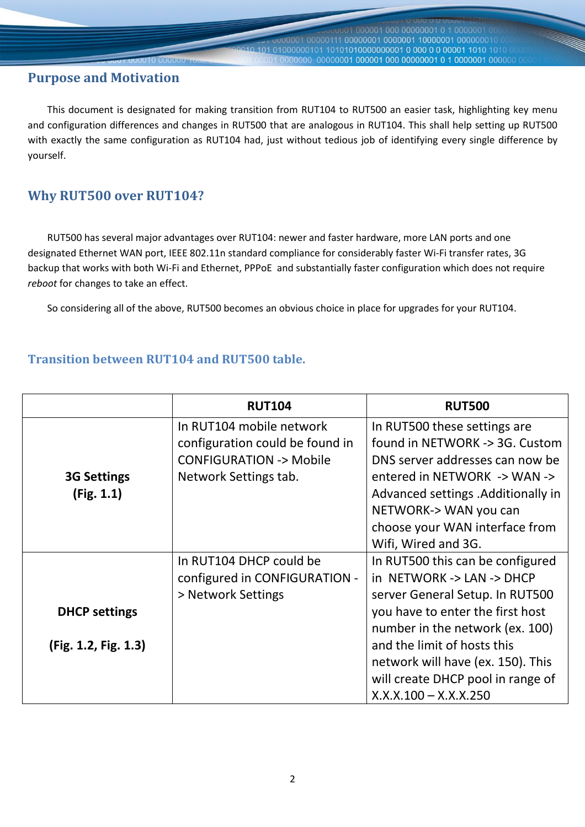### **Purpose and Motivation**

 This document is designated for making transition from RUT104 to RUT500 an easier task, highlighting key menu and configuration differences and changes in RUT500 that are analogous in RUT104. This shall help setting up RUT500 with exactly the same configuration as RUT104 had, just without tedious job of identifying every single difference by yourself.

000001 000 00000001 0 1 000000

101 01000000101 10101010000000001 0 000 0 0 00001 1010 101

## **Why RUT500 over RUT104?**

 RUT500 has several major advantages over RUT104: newer and faster hardware, more LAN ports and one designated Ethernet WAN port, IEEE 802.11n standard compliance for considerably faster Wi-Fi transfer rates, 3G backup that works with both Wi-Fi and Ethernet, PPPoE and substantially faster configuration which does not require *reboot* for changes to take an effect.

So considering all of the above, RUT500 becomes an obvious choice in place for upgrades for your RUT104.

#### **Transition between RUT104 and RUT500 table.**

|                      | <b>RUT104</b>                     | <b>RUT500</b>                       |  |
|----------------------|-----------------------------------|-------------------------------------|--|
|                      | In RUT104 mobile network          | In RUT500 these settings are        |  |
|                      | configuration could be found in   | found in NETWORK -> 3G. Custom      |  |
|                      | <b>CONFIGURATION -&gt; Mobile</b> | DNS server addresses can now be     |  |
| <b>3G Settings</b>   | Network Settings tab.             | entered in NETWORK -> WAN ->        |  |
| (Fig. 1.1)           |                                   | Advanced settings . Additionally in |  |
|                      |                                   | NETWORK-> WAN you can               |  |
|                      |                                   | choose your WAN interface from      |  |
|                      |                                   | Wifi, Wired and 3G.                 |  |
|                      | In RUT104 DHCP could be           | In RUT500 this can be configured    |  |
|                      | configured in CONFIGURATION -     | in NETWORK -> LAN -> DHCP           |  |
|                      | > Network Settings                | server General Setup. In RUT500     |  |
| <b>DHCP settings</b> |                                   | you have to enter the first host    |  |
|                      |                                   | number in the network (ex. 100)     |  |
| (Fig. 1.2, Fig. 1.3) |                                   | and the limit of hosts this         |  |
|                      |                                   | network will have (ex. 150). This   |  |
|                      |                                   | will create DHCP pool in range of   |  |
|                      |                                   | $X.X.X.100 - X.X.X.250$             |  |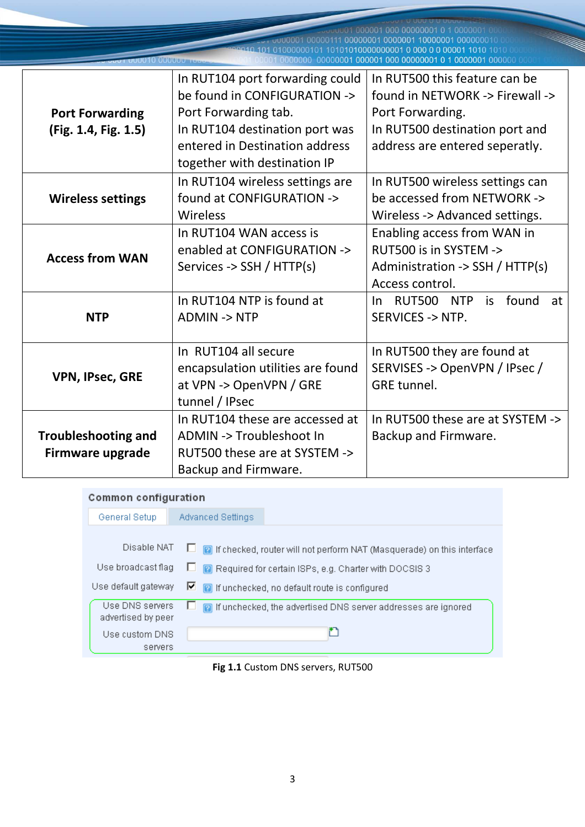00001000001000000000000010100000010 

|                            | In RUT104 port forwarding could   | In RUT500 this feature can be                      |  |  |
|----------------------------|-----------------------------------|----------------------------------------------------|--|--|
|                            | be found in CONFIGURATION ->      | found in NETWORK -> Firewall ->                    |  |  |
| <b>Port Forwarding</b>     | Port Forwarding tab.              | Port Forwarding.<br>In RUT500 destination port and |  |  |
| (Fig. 1.4, Fig. 1.5)       | In RUT104 destination port was    |                                                    |  |  |
|                            | entered in Destination address    | address are entered seperatly.                     |  |  |
|                            | together with destination IP      |                                                    |  |  |
|                            | In RUT104 wireless settings are   | In RUT500 wireless settings can                    |  |  |
| <b>Wireless settings</b>   | found at CONFIGURATION ->         | be accessed from NETWORK ->                        |  |  |
|                            | Wireless                          | Wireless -> Advanced settings.                     |  |  |
| <b>Access from WAN</b>     | In RUT104 WAN access is           | Enabling access from WAN in                        |  |  |
|                            | enabled at CONFIGURATION ->       | RUT500 is in SYSTEM ->                             |  |  |
|                            | Services -> SSH / HTTP(s)         | Administration -> $SSH / HTTP(s)$                  |  |  |
|                            |                                   | Access control.                                    |  |  |
|                            | In RUT104 NTP is found at         | RUT500 NTP<br>is found<br>at<br>In.                |  |  |
| <b>NTP</b>                 | <b>ADMIN -&gt; NTP</b>            | <b>SERVICES -&gt; NTP.</b>                         |  |  |
|                            |                                   |                                                    |  |  |
|                            | In RUT104 all secure              | In RUT500 they are found at                        |  |  |
| <b>VPN, IPsec, GRE</b>     | encapsulation utilities are found | SERVISES -> OpenVPN / IPsec /                      |  |  |
|                            | at VPN -> OpenVPN / GRE           | <b>GRE</b> tunnel.                                 |  |  |
|                            | tunnel / IPsec                    |                                                    |  |  |
|                            | In RUT104 these are accessed at   | In RUT500 these are at SYSTEM ->                   |  |  |
| <b>Troubleshooting and</b> | ADMIN -> Troubleshoot In          | Backup and Firmware.                               |  |  |
| <b>Firmware upgrade</b>    | RUT500 these are at SYSTEM ->     |                                                    |  |  |
|                            | Backup and Firmware.              |                                                    |  |  |

#### Common configuration

| General Setup                         | Advanced Settings                                                               |
|---------------------------------------|---------------------------------------------------------------------------------|
|                                       |                                                                                 |
| Disable NAT                           | <b>a</b> If checked, router will not perform NAT (Masquerade) on this interface |
| Use broadcast flag                    | <b>2</b> Required for certain ISPs, e.g. Charter with DOCSIS 3<br>ப             |
| Use default gateway                   | $\Box$ <b>O</b> if unchecked, no default route is configured                    |
| Use DNS servers<br>advertised by peer | <b>n</b> If unchecked, the advertised DNS server addresses are ignored          |
| Use custom DNS                        |                                                                                 |
| servers                               |                                                                                 |

#### **Fig 1.1** Custom DNS servers, RUT500